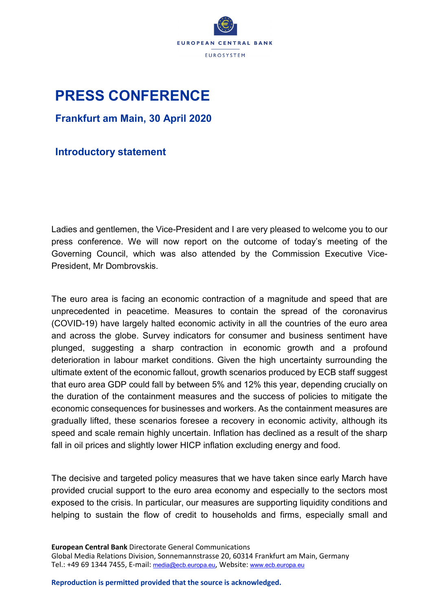

## **PRESS CONFERENCE**

**Frankfurt am Main, 30 April 2020**

**Introductory statement**

Ladies and gentlemen, the Vice-President and I are very pleased to welcome you to our press conference. We will now report on the outcome of today's meeting of the Governing Council, which was also attended by the Commission Executive Vice-President, Mr Dombrovskis.

The euro area is facing an economic contraction of a magnitude and speed that are unprecedented in peacetime. Measures to contain the spread of the coronavirus (COVID-19) have largely halted economic activity in all the countries of the euro area and across the globe. Survey indicators for consumer and business sentiment have plunged, suggesting a sharp contraction in economic growth and a profound deterioration in labour market conditions. Given the high uncertainty surrounding the ultimate extent of the economic fallout, growth scenarios produced by ECB staff suggest that euro area GDP could fall by between 5% and 12% this year, depending crucially on the duration of the containment measures and the success of policies to mitigate the economic consequences for businesses and workers. As the containment measures are gradually lifted, these scenarios foresee a recovery in economic activity, although its speed and scale remain highly uncertain. Inflation has declined as a result of the sharp fall in oil prices and slightly lower HICP inflation excluding energy and food.

The decisive and targeted policy measures that we have taken since early March have provided crucial support to the euro area economy and especially to the sectors most exposed to the crisis. In particular, our measures are supporting liquidity conditions and helping to sustain the flow of credit to households and firms, especially small and

**European Central Bank** Directorate General Communications

Global Media Relations Division, Sonnemannstrasse 20, 60314 Frankfurt am Main, Germany Tel.: +49 69 1344 7455, E-mail: [media@ecb.europa.eu](mailto:media@ecb.europa.eu), Website: [www.ecb.europa.eu](http://www.ecb.europa.eu/)

**Reproduction is permitted provided that the source is acknowledged.**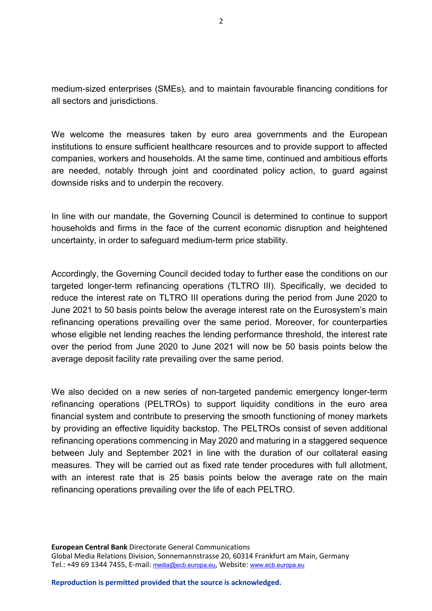medium-sized enterprises (SMEs), and to maintain favourable financing conditions for all sectors and jurisdictions.

We welcome the measures taken by euro area governments and the European institutions to ensure sufficient healthcare resources and to provide support to affected companies, workers and households. At the same time, continued and ambitious efforts are needed, notably through joint and coordinated policy action, to guard against downside risks and to underpin the recovery.

In line with our mandate, the Governing Council is determined to continue to support households and firms in the face of the current economic disruption and heightened uncertainty, in order to safeguard medium-term price stability.

Accordingly, the Governing Council decided today to further ease the conditions on our targeted longer-term refinancing operations (TLTRO III). Specifically, we decided to reduce the interest rate on TLTRO III operations during the period from June 2020 to June 2021 to 50 basis points below the average interest rate on the Eurosystem's main refinancing operations prevailing over the same period. Moreover, for counterparties whose eligible net lending reaches the lending performance threshold, the interest rate over the period from June 2020 to June 2021 will now be 50 basis points below the average deposit facility rate prevailing over the same period.

We also decided on a new series of non-targeted pandemic emergency longer-term refinancing operations (PELTROs) to support liquidity conditions in the euro area financial system and contribute to preserving the smooth functioning of money markets by providing an effective liquidity backstop. The PELTROs consist of seven additional refinancing operations commencing in May 2020 and maturing in a staggered sequence between July and September 2021 in line with the duration of our collateral easing measures. They will be carried out as fixed rate tender procedures with full allotment, with an interest rate that is 25 basis points below the average rate on the main refinancing operations prevailing over the life of each PELTRO.

**European Central Bank** Directorate General Communications Global Media Relations Division, Sonnemannstrasse 20, 60314 Frankfurt am Main, Germany Tel.: +49 69 1344 7455, E-mail: [media@ecb.europa.eu](mailto:media@ecb.europa.eu), Website: [www.ecb.europa.eu](http://www.ecb.europa.eu/)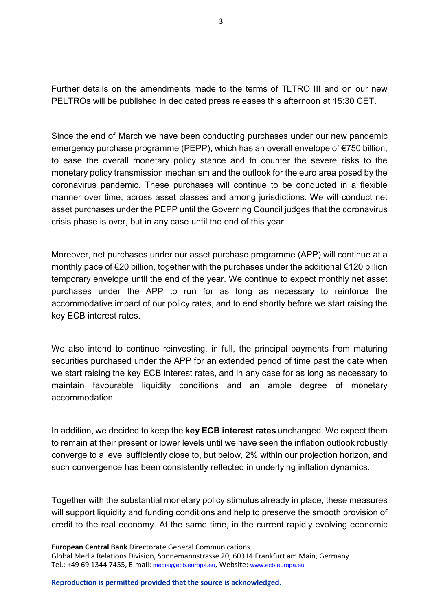Further details on the amendments made to the terms of TLTRO III and on our new PELTROs will be published in dedicated press releases this afternoon at 15:30 CET.

Since the end of March we have been conducting purchases under our new pandemic emergency purchase programme (PEPP), which has an overall envelope of €750 billion, to ease the overall monetary policy stance and to counter the severe risks to the monetary policy transmission mechanism and the outlook for the euro area posed by the coronavirus pandemic. These purchases will continue to be conducted in a flexible manner over time, across asset classes and among jurisdictions. We will conduct net asset purchases under the PEPP until the Governing Council judges that the coronavirus crisis phase is over, but in any case until the end of this year.

Moreover, net purchases under our asset purchase programme (APP) will continue at a monthly pace of €20 billion, together with the purchases under the additional €120 billion temporary envelope until the end of the year. We continue to expect monthly net asset purchases under the APP to run for as long as necessary to reinforce the accommodative impact of our policy rates, and to end shortly before we start raising the key ECB interest rates.

We also intend to continue reinvesting, in full, the principal payments from maturing securities purchased under the APP for an extended period of time past the date when we start raising the key ECB interest rates, and in any case for as long as necessary to maintain favourable liquidity conditions and an ample degree of monetary accommodation.

In addition, we decided to keep the **key ECB interest rates** unchanged. We expect them to remain at their present or lower levels until we have seen the inflation outlook robustly converge to a level sufficiently close to, but below, 2% within our projection horizon, and such convergence has been consistently reflected in underlying inflation dynamics.

Together with the substantial monetary policy stimulus already in place, these measures will support liquidity and funding conditions and help to preserve the smooth provision of credit to the real economy. At the same time, in the current rapidly evolving economic

**European Central Bank** Directorate General Communications Global Media Relations Division, Sonnemannstrasse 20, 60314 Frankfurt am Main, Germany Tel.: +49 69 1344 7455, E-mail: [media@ecb.europa.eu](mailto:media@ecb.europa.eu), Website: [www.ecb.europa.eu](http://www.ecb.europa.eu/)

**Reproduction is permitted provided that the source is acknowledged.**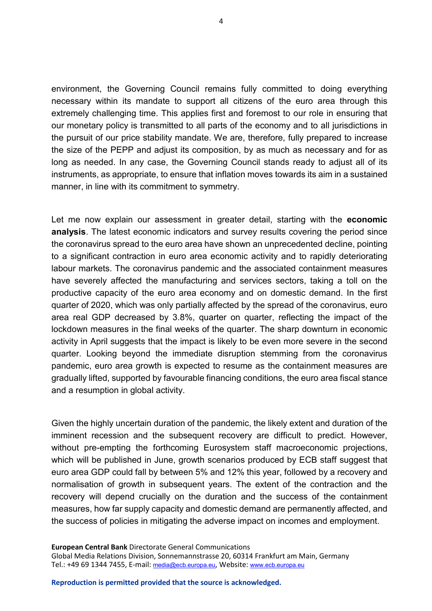environment, the Governing Council remains fully committed to doing everything necessary within its mandate to support all citizens of the euro area through this extremely challenging time. This applies first and foremost to our role in ensuring that our monetary policy is transmitted to all parts of the economy and to all jurisdictions in the pursuit of our price stability mandate. We are, therefore, fully prepared to increase the size of the PEPP and adjust its composition, by as much as necessary and for as long as needed. In any case, the Governing Council stands ready to adjust all of its instruments, as appropriate, to ensure that inflation moves towards its aim in a sustained manner, in line with its commitment to symmetry.

Let me now explain our assessment in greater detail, starting with the **economic analysis**. The latest economic indicators and survey results covering the period since the coronavirus spread to the euro area have shown an unprecedented decline, pointing to a significant contraction in euro area economic activity and to rapidly deteriorating labour markets. The coronavirus pandemic and the associated containment measures have severely affected the manufacturing and services sectors, taking a toll on the productive capacity of the euro area economy and on domestic demand. In the first quarter of 2020, which was only partially affected by the spread of the coronavirus, euro area real GDP decreased by 3.8%, quarter on quarter, reflecting the impact of the lockdown measures in the final weeks of the quarter. The sharp downturn in economic activity in April suggests that the impact is likely to be even more severe in the second quarter. Looking beyond the immediate disruption stemming from the coronavirus pandemic, euro area growth is expected to resume as the containment measures are gradually lifted, supported by favourable financing conditions, the euro area fiscal stance and a resumption in global activity.

Given the highly uncertain duration of the pandemic, the likely extent and duration of the imminent recession and the subsequent recovery are difficult to predict. However, without pre-empting the forthcoming Eurosystem staff macroeconomic projections, which will be published in June, growth scenarios produced by ECB staff suggest that euro area GDP could fall by between 5% and 12% this year, followed by a recovery and normalisation of growth in subsequent years. The extent of the contraction and the recovery will depend crucially on the duration and the success of the containment measures, how far supply capacity and domestic demand are permanently affected, and the success of policies in mitigating the adverse impact on incomes and employment.

**European Central Bank** Directorate General Communications

Global Media Relations Division, Sonnemannstrasse 20, 60314 Frankfurt am Main, Germany Tel.: +49 69 1344 7455, E-mail: [media@ecb.europa.eu](mailto:media@ecb.europa.eu), Website: [www.ecb.europa.eu](http://www.ecb.europa.eu/)

**Reproduction is permitted provided that the source is acknowledged.**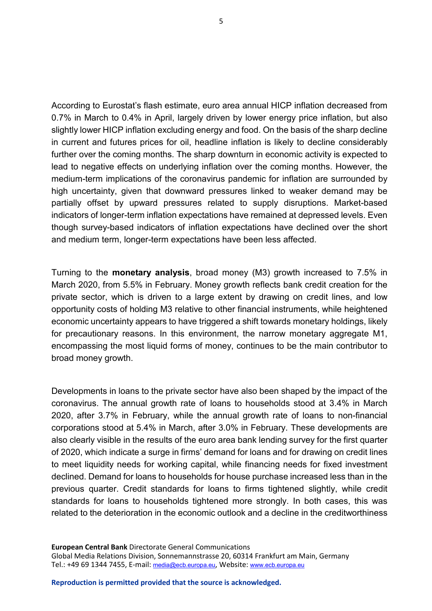According to Eurostat's flash estimate, euro area annual HICP inflation decreased from 0.7% in March to 0.4% in April, largely driven by lower energy price inflation, but also slightly lower HICP inflation excluding energy and food. On the basis of the sharp decline in current and futures prices for oil, headline inflation is likely to decline considerably further over the coming months. The sharp downturn in economic activity is expected to lead to negative effects on underlying inflation over the coming months. However, the medium-term implications of the coronavirus pandemic for inflation are surrounded by high uncertainty, given that downward pressures linked to weaker demand may be partially offset by upward pressures related to supply disruptions. Market-based indicators of longer-term inflation expectations have remained at depressed levels. Even though survey-based indicators of inflation expectations have declined over the short and medium term, longer-term expectations have been less affected.

Turning to the **monetary analysis**, broad money (M3) growth increased to 7.5% in March 2020, from 5.5% in February. Money growth reflects bank credit creation for the private sector, which is driven to a large extent by drawing on credit lines, and low opportunity costs of holding M3 relative to other financial instruments, while heightened economic uncertainty appears to have triggered a shift towards monetary holdings, likely for precautionary reasons. In this environment, the narrow monetary aggregate M1, encompassing the most liquid forms of money, continues to be the main contributor to broad money growth.

Developments in loans to the private sector have also been shaped by the impact of the coronavirus. The annual growth rate of loans to households stood at 3.4% in March 2020, after 3.7% in February, while the annual growth rate of loans to non-financial corporations stood at 5.4% in March, after 3.0% in February. These developments are also clearly visible in the results of the euro area bank lending survey for the first quarter of 2020, which indicate a surge in firms' demand for loans and for drawing on credit lines to meet liquidity needs for working capital, while financing needs for fixed investment declined. Demand for loans to households for house purchase increased less than in the previous quarter. Credit standards for loans to firms tightened slightly, while credit standards for loans to households tightened more strongly. In both cases, this was related to the deterioration in the economic outlook and a decline in the creditworthiness

**European Central Bank** Directorate General Communications Global Media Relations Division, Sonnemannstrasse 20, 60314 Frankfurt am Main, Germany Tel.: +49 69 1344 7455, E-mail: [media@ecb.europa.eu](mailto:media@ecb.europa.eu), Website: [www.ecb.europa.eu](http://www.ecb.europa.eu/)